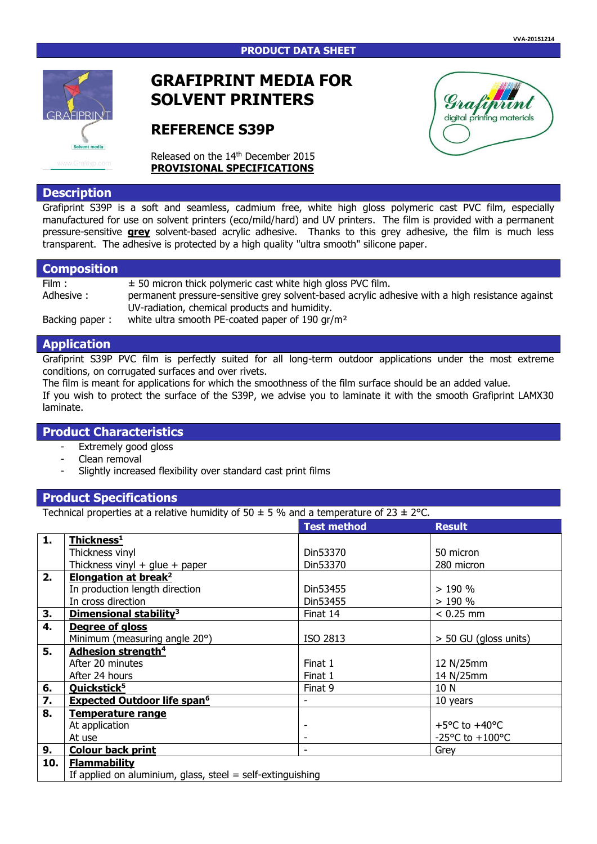

# **GRAFIPRINT MEDIA FOR SOLVENT PRINTERS**

# **REFERENCE S39P**

Released on the 14<sup>th</sup> December 2015 **PROVISIONAL SPECIFICATIONS**

# **Description**

Grafiprint S39P is a soft and seamless, cadmium free, white high gloss polymeric cast PVC film, especially manufactured for use on solvent printers (eco/mild/hard) and UV printers. The film is provided with a permanent pressure-sensitive **grey** solvent-based acrylic adhesive. Thanks to this grey adhesive, the film is much less transparent. The adhesive is protected by a high quality "ultra smooth" silicone paper.

### **Composition**

Film :  $\pm$  50 micron thick polymeric cast white high gloss PVC film. Adhesive : permanent pressure-sensitive grey solvent-based acrylic adhesive with a high resistance against UV-radiation, chemical products and humidity.

Backing paper : white ultra smooth PE-coated paper of 190 gr/m<sup>2</sup>

# **Application**

Grafiprint S39P PVC film is perfectly suited for all long-term outdoor applications under the most extreme conditions, on corrugated surfaces and over rivets.

The film is meant for applications for which the smoothness of the film surface should be an added value. If you wish to protect the surface of the S39P, we advise you to laminate it with the smooth Grafiprint LAMX30 laminate.

# **Product Characteristics**

- Extremely good gloss
- Clean removal
- Slightly increased flexibility over standard cast print films

## **Product Specifications**

Technical properties at a relative humidity of  $50 \pm 5$  % and a temperature of  $23 \pm 2$  °C.

|     |                                                              | <b>Test method</b> | <b>Result</b>                       |
|-----|--------------------------------------------------------------|--------------------|-------------------------------------|
|     |                                                              |                    |                                     |
| 1.  | Thickness <sup>1</sup>                                       |                    |                                     |
|     | Thickness vinyl                                              | Din53370           | 50 micron                           |
|     | Thickness vinyl + glue + paper                               | Din53370           | 280 micron                          |
| 2.  | <b>Elongation at break<sup>2</sup></b>                       |                    |                                     |
|     | In production length direction                               | Din53455           | >190%                               |
|     | In cross direction                                           | Din53455           | >190%                               |
| 3.  | Dimensional stability <sup>3</sup>                           | Finat 14           | $< 0.25$ mm                         |
| 4.  | Degree of gloss                                              |                    |                                     |
|     | Minimum (measuring angle 20°)                                | ISO 2813           | > 50 GU (gloss units)               |
| 5.  | Adhesion strength <sup>4</sup>                               |                    |                                     |
|     | After 20 minutes                                             | Finat 1            | 12 N/25mm                           |
|     | After 24 hours                                               | Finat 1            | 14 N/25mm                           |
| 6.  | Quickstick <sup>5</sup>                                      | Finat 9            | 10 N                                |
| 7.  | <b>Expected Outdoor life span<sup>6</sup></b>                |                    | 10 years                            |
| 8.  | <b>Temperature range</b>                                     |                    |                                     |
|     | At application                                               |                    | +5 $^{\circ}$ C to +40 $^{\circ}$ C |
|     | At use                                                       |                    | -25°C to $+100$ °C                  |
| 9.  | <b>Colour back print</b>                                     | -                  | Grey                                |
| 10. | <b>Flammability</b>                                          |                    |                                     |
|     | If applied on aluminium, glass, steel $=$ self-extinguishing |                    |                                     |